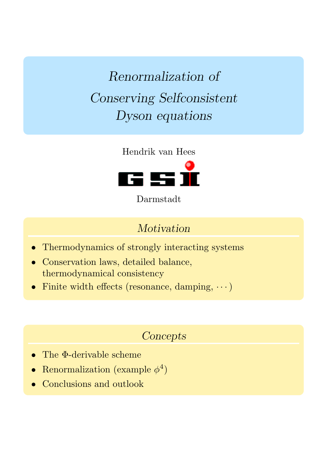Renormalization of Conserving Selfconsistent Dyson equations



Darmstadt

### Motivation

- Thermodynamics of strongly interacting systems
- Conservation laws, detailed balance, thermodynamical consistency
- $\bullet~$  Finite width effects (resonance, damping,  $\cdots$ )

### **Concepts**

- The Φ-derivable scheme
- Renormalization (example  $\phi^4$ )
- Conclusions and outlook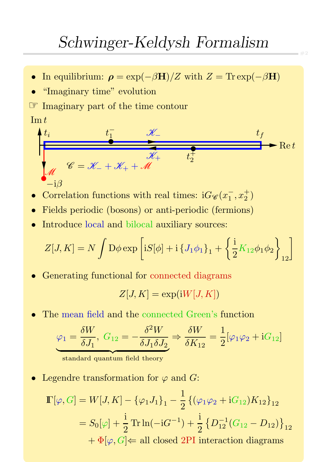- In equilibrium:  $\rho = \exp(-\beta \mathbf{H})/Z$  with  $Z = \text{Tr} \exp(-\beta \mathbf{H})$
- "Imaginary time" evolution

☞ Imaginary part of the time contour

#### $\operatorname{Im} t$

$$
t_{i} \t t_{1} \t \mathscr{K}_{-}
$$
\n
$$
t_{f}
$$
\n
$$
\mathscr{K}_{-}
$$
\n
$$
\mathscr{K}_{+}
$$
\n
$$
t_{f}
$$
\n
$$
\mathscr{K}_{+}
$$
\n
$$
t_{f}
$$
\n
$$
\mathscr{K}_{+}
$$
\n
$$
t_{f}
$$
\n
$$
\mathscr{K}_{+}
$$
\n
$$
t_{f}
$$
\n
$$
t_{f}
$$
\n
$$
\mathscr{K}_{+}
$$
\n
$$
t_{f}
$$
\n
$$
t_{f}
$$
\n
$$
t_{f}
$$

- Correlation functions with real times:  $iG_{\mathscr{C}}(x_1^-)$  $\frac{1}{1}, x_2^+$  $\begin{pmatrix} + \ 2 \end{pmatrix}$
- Fields periodic (bosons) or anti-periodic (fermions)
- Introduce local and bilocal auxiliary sources:

$$
Z[J,K] = N \int \mathcal{D}\phi \exp\left[iS[\phi] + i\left\{J_1\phi_1\right\}_1 + \left\{\frac{i}{2}K_{12}\phi_1\phi_2\right\}_{12}\right]
$$

• Generating functional for connected diagrams

$$
Z[J,K] = \exp(iW[J,K])
$$

The mean field and the connected Green's function

$$
\varphi_1 = \frac{\delta W}{\delta J_1}, \ G_{12} = -\frac{\delta^2 W}{\delta J_1 \delta J_2} \Rightarrow \frac{\delta W}{\delta K_{12}} = \frac{1}{2} [\varphi_1 \varphi_2 + i G_{12}]
$$

standard quantum field theory

Legendre transformation for  $\varphi$  and G:

$$
\begin{aligned} \mathbb{I}[\varphi, G] &= W[J, K] - \{\varphi_1 J_1\}_1 - \frac{1}{2} \left\{ (\varphi_1 \varphi_2 + \mathrm{i} G_{12}) K_{12} \right\}_{12} \\ &= S_0[\varphi] + \frac{\mathrm{i}}{2} \operatorname{Tr} \ln(-\mathrm{i} G^{-1}) + \frac{\mathrm{i}}{2} \left\{ D_{12}^{-1} (G_{12} - D_{12}) \right\}_{12} \\ &+ \Phi[\varphi, G] \Leftarrow \text{all closed 2PI interaction diagrams} \end{aligned}
$$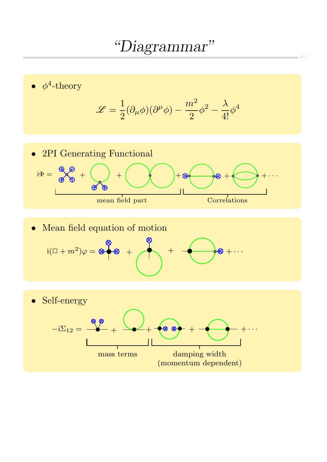## "Diagrammar"



 $=$   $#3$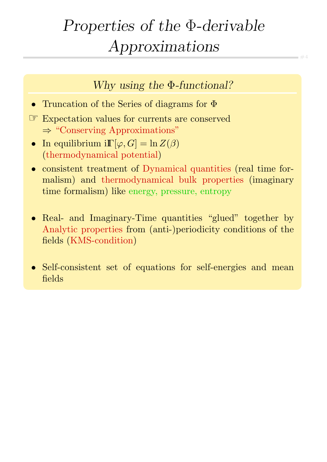# Properties of the Φ-derivable Approximations

#4

Why using the Φ-functional?

- Truncation of the Series of diagrams for Φ
- ☞ Expectation values for currents are conserved ⇒ "Conserving Approximations"
- In equilibrium  $i\mathbb{F}[\varphi, G] = \ln Z(\beta)$ (thermodynamical potential)
- consistent treatment of Dynamical quantities (real time formalism) and thermodynamical bulk properties (imaginary time formalism) like energy, pressure, entropy
- Real- and Imaginary-Time quantities "glued" together by Analytic properties from (anti-)periodicity conditions of the fields (KMS-condition)
- Self-consistent set of equations for self-energies and mean fields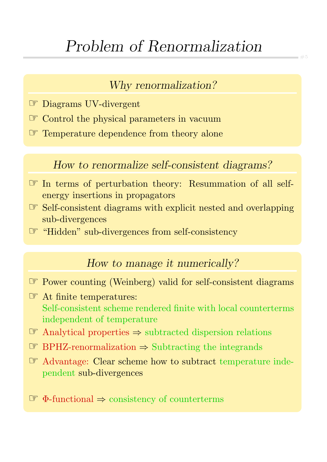# Problem of Renormalization

### Why renormalization?

- ☞ Diagrams UV-divergent
- ☞ Control the physical parameters in vacuum
- ☞ Temperature dependence from theory alone

### How to renormalize self-consistent diagrams?

- ☞ In terms of perturbation theory: Resummation of all selfenergy insertions in propagators
- ☞ Self-consistent diagrams with explicit nested and overlapping sub-divergences
- ☞ "Hidden" sub-divergences from self-consistency

#### How to manage it numerically?

- ☞ Power counting (Weinberg) valid for self-consistent diagrams
- ☞ At finite temperatures: Self-consistent scheme rendered finite with local counterterms independent of temperature
- ☞ Analytical properties <sup>⇒</sup> subtracted dispersion relations
- ☞ BPHZ-renormalization <sup>⇒</sup> Subtracting the integrands
- ☞ Advantage: Clear scheme how to subtract temperature independent sub-divergences

☞ Φ-functional <sup>⇒</sup> consistency of counterterms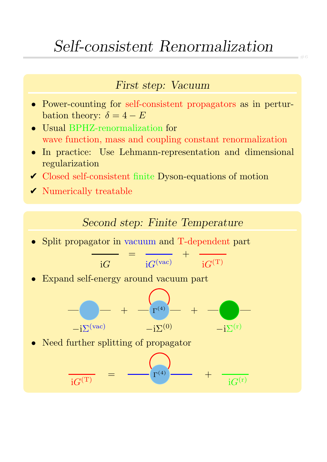## Self-consistent Renormalization

#### First step: Vacuum

- Power-counting for self-consistent propagators as in perturbation theory:  $\delta = 4 - E$
- Usual BPHZ-renormalization for wave function, mass and coupling constant renormalization
- In practice: Use Lehmann-representation and dimensional regularization
- ✔ Closed self-consistent finite Dyson-equations of motion
- $\checkmark$  Numerically treatable

#### Second step: Finite Temperature

• Split propagator in vacuum and T-dependent part

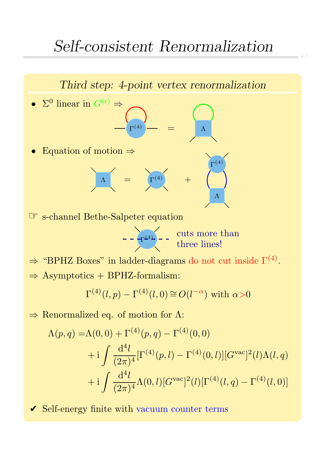

 $\Rightarrow$  Renormalized eq. of motion for  $\Lambda$ :

$$
\Lambda(p,q) = \Lambda(0,0) + \Gamma^{(4)}(p,q) - \Gamma^{(4)}(0,0)
$$
  
+ 
$$
i \int \frac{d^4l}{(2\pi)^4} [\Gamma^{(4)}(p,l) - \Gamma^{(4)}(0,l)][G^{\text{vac}}]^2(l)\Lambda(l,q)
$$
  
+ 
$$
i \int \frac{d^4l}{(2\pi)^4} \Lambda(0,l)[G^{\text{vac}}]^2(l)[\Gamma^{(4)}(l,q) - \Gamma^{(4)}(l,0)]
$$

 $\vee$  Self-energy finite with vacuum counter terms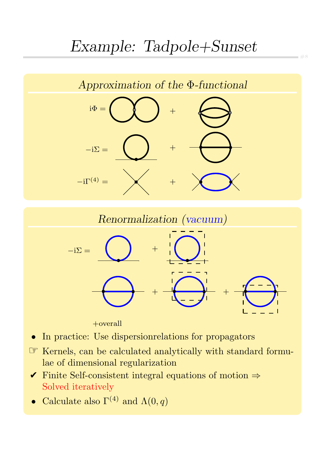# Example: Tadpole+Sunset

#8





+overall

- In practice: Use dispersionrelations for propagators
- ☞ Kernels, can be calculated analytically with standard formulae of dimensional regularization
- $\checkmark$  Finite Self-consistent integral equations of motion  $\Rightarrow$ Solved iteratively
- Calculate also  $\Gamma^{(4)}$  and  $\Lambda(0,q)$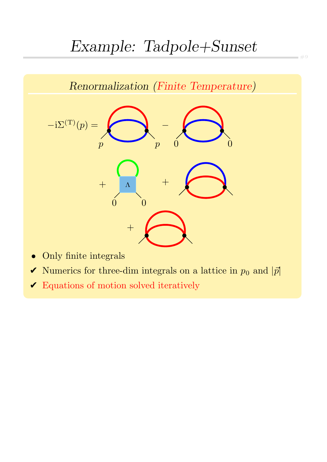# Example: Tadpole+Sunset

#9



- $\blacktriangleright$  Numerics for three-dim integrals on a lattice in  $p_0$  and  $|\vec{p}|$
- $\blacktriangleright$  Equations of motion solved iteratively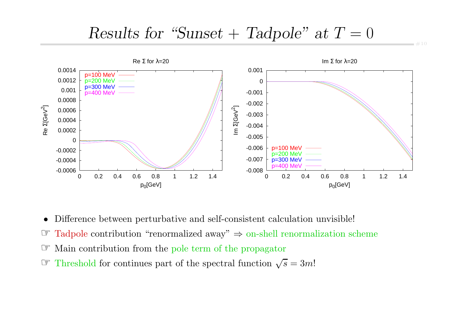### Results for "Sunset + Tadpole" at  $T=0$



•Difference between perturbative and self-consistent calculation unvisible!

- ☞Tadpole contribution "renormalized away"  $\Rightarrow$  on-shell renormalization scheme
- ☞ Main contribution from the pole term of the propagator
- $\mathscr{F}$  Threshold for continues part of the spectral function  $\sqrt{s} = 3m!$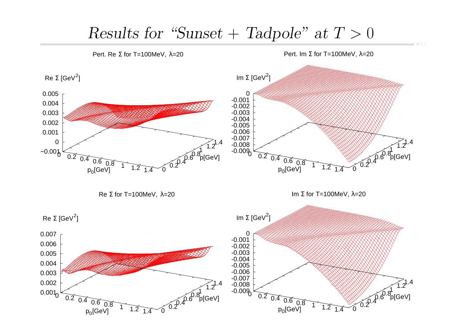## Results for "Sunset + Tadpole" at  $T > 0$

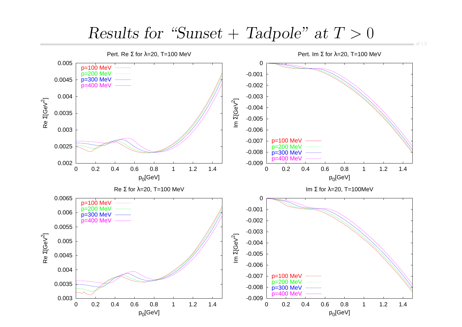## $Results for 'Sunset + Tadpole' at T > 0$